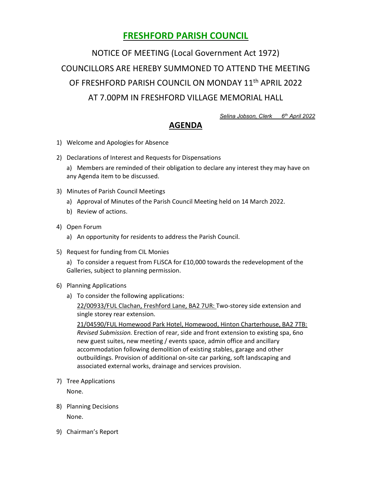## FRESHFORD PARISH COUNCIL

NOTICE OF MEETING (Local Government Act 1972) COUNCILLORS ARE HEREBY SUMMONED TO ATTEND THE MEETING OF FRESHFORD PARISH COUNCIL ON MONDAY 11th APRIL 2022 AT 7.00PM IN FRESHFORD VILLAGE MEMORIAL HALL

Selina Jobson, Clerk 6<sup>th</sup> April 2022

## AGENDA

- 1) Welcome and Apologies for Absence
- 2) Declarations of Interest and Requests for Dispensations

a) Members are reminded of their obligation to declare any interest they may have on any Agenda item to be discussed.

- 3) Minutes of Parish Council Meetings
	- a) Approval of Minutes of the Parish Council Meeting held on 14 March 2022.
	- b) Review of actions.
- 4) Open Forum
	- a) An opportunity for residents to address the Parish Council.
- 5) Request for funding from CIL Monies

a) To consider a request from FLiSCA for £10,000 towards the redevelopment of the Galleries, subject to planning permission.

- 6) Planning Applications
	- a) To consider the following applications:

22/00933/FUL Clachan, Freshford Lane, BA2 7UR: Two-storey side extension and single storey rear extension.

21/04590/FUL Homewood Park Hotel, Homewood, Hinton Charterhouse, BA2 7TB: Revised Submission. Erection of rear, side and front extension to existing spa, 6no new guest suites, new meeting / events space, admin office and ancillary accommodation following demolition of existing stables, garage and other outbuildings. Provision of additional on-site car parking, soft landscaping and associated external works, drainage and services provision.

7) Tree Applications

None.

- 8) Planning Decisions None.
- 9) Chairman's Report